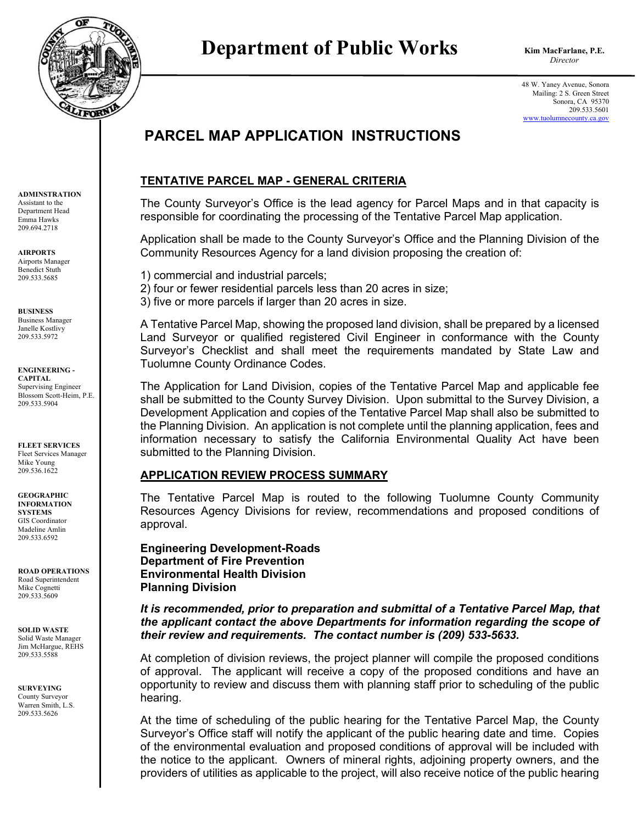

# **Department of Public Works** Kim MacFarla

**Kim MacFarlane, P.E.**

48 W. Yaney Avenue, Sonora Mailing: 2 S. Green Street Sonora, CA 95370 209.533.5601 [www.tuolumnecounty.ca.gov](http://www.tuolumnecounty.ca.gov/)

## **PARCEL MAP APPLICATION INSTRUCTIONS**

### **TENTATIVE PARCEL MAP - GENERAL CRITERIA**

The County Surveyor's Office is the lead agency for Parcel Maps and in that capacity is responsible for coordinating the processing of the Tentative Parcel Map application.

Application shall be made to the County Surveyor's Office and the Planning Division of the Community Resources Agency for a land division proposing the creation of:

1) commercial and industrial parcels;

2) four or fewer residential parcels less than 20 acres in size;

3) five or more parcels if larger than 20 acres in size.

A Tentative Parcel Map, showing the proposed land division, shall be prepared by a licensed Land Surveyor or qualified registered Civil Engineer in conformance with the County Surveyor's Checklist and shall meet the requirements mandated by State Law and Tuolumne County Ordinance Codes.

The Application for Land Division, copies of the Tentative Parcel Map and applicable fee shall be submitted to the County Survey Division. Upon submittal to the Survey Division, a Development Application and copies of the Tentative Parcel Map shall also be submitted to the Planning Division. An application is not complete until the planning application, fees and information necessary to satisfy the California Environmental Quality Act have been submitted to the Planning Division.

#### **APPLICATION REVIEW PROCESS SUMMARY**

The Tentative Parcel Map is routed to the following Tuolumne County Community Resources Agency Divisions for review, recommendations and proposed conditions of approval.

**Engineering Development-Roads Department of Fire Prevention Environmental Health Division Planning Division** 

*It is recommended, prior to preparation and submittal of a Tentative Parcel Map, that the applicant contact the above Departments for information regarding the scope of their review and requirements. The contact number is (209) 533-5633.*

At completion of division reviews, the project planner will compile the proposed conditions of approval. The applicant will receive a copy of the proposed conditions and have an opportunity to review and discuss them with planning staff prior to scheduling of the public hearing.

At the time of scheduling of the public hearing for the Tentative Parcel Map, the County Surveyor's Office staff will notify the applicant of the public hearing date and time. Copies of the environmental evaluation and proposed conditions of approval will be included with the notice to the applicant. Owners of mineral rights, adjoining property owners, and the providers of utilities as applicable to the project, will also receive notice of the public hearing

**ADMINSTRATION** Assistant to the Department Head Emma Hawks 209.694.2718

**AIRPORTS** Airports Manager Benedict Stuth 209.533.5685

**BUSINESS** Business Manager

Janelle Kostlivy 209.533.5972

**ENGINEERING - CAPITAL** Supervising Engineer Blossom Scott-Heim, P.E. 209.533.5904

**FLEET SERVICES** Fleet Services Manager Mike Young 209.536.1622

**GEOGRAPHIC INFORMATION SYSTEMS** GIS Coordinator Madeline Amlin 209.533.6592

**ROAD OPERATIONS** Road Superintendent Mike Cognetti 209.533.5609

**SOLID WASTE** Solid Waste Manager Jim McHargue, REHS 209.533.5588

**SURVEYING** County Surveyor Warren Smith, L.S. 209.533.5626